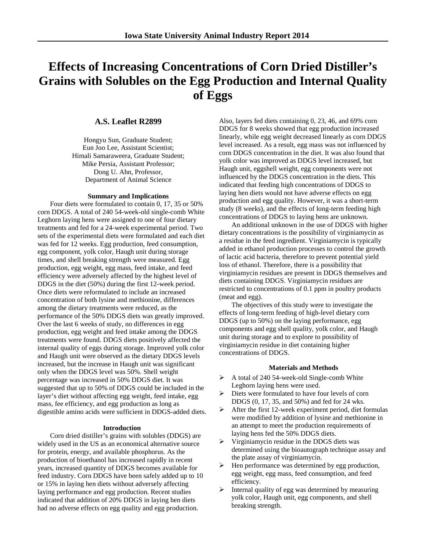# **Effects of Increasing Concentrations of Corn Dried Distiller's Grains with Solubles on the Egg Production and Internal Quality of Eggs**

# **A.S. Leaflet R2899**

Hongyu Sun, Graduate Student; Eun Joo Lee, Assistant Scientist; Himali Samaraweera, Graduate Student; Mike Persia, Assistant Professor; Dong U. Ahn, Professor, Department of Animal Science

#### **Summary and Implications**

Four diets were formulated to contain 0, 17, 35 or 50% corn DDGS. A total of 240 54-week-old single-comb White Leghorn laying hens were assigned to one of four dietary treatments and fed for a 24-week experimental period. Two sets of the experimental diets were formulated and each diet was fed for 12 weeks. Egg production, feed consumption, egg component, yolk color, Haugh unit during storage times, and shell breaking strength were measured. Egg production, egg weight, egg mass, feed intake, and feed efficiency were adversely affected by the highest level of DDGS in the diet (50%) during the first 12-week period. Once diets were reformulated to include an increased concentration of both lysine and methionine, differences among the dietary treatments were reduced, as the performance of the 50% DDGS diets was greatly improved. Over the last 6 weeks of study, no differences in egg production, egg weight and feed intake among the DDGS treatments were found. DDGS diets positively affected the internal quality of eggs during storage. Improved yolk color and Haugh unit were observed as the dietary DDGS levels increased, but the increase in Haugh unit was significant only when the DDGS level was 50%. Shell weight percentage was increased in 50% DDGS diet. It was suggested that up to 50% of DDGS could be included in the layer's diet without affecting egg weight, feed intake, egg mass, fee efficiency, and egg production as long as digestible amino acids were sufficient in DDGS-added diets.

#### **Introduction**

Corn dried distiller's grains with solubles (DDGS) are widely used in the US as an economical alternative source for protein, energy, and available phosphorus. As the production of bioethanol has increased rapidly in recent years, increased quantity of DDGS becomes available for feed industry. Corn DDGS have been safely added up to 10 or 15% in laying hen diets without adversely affecting laying performance and egg production. Recent studies indicated that addition of 20% DDGS in laying hen diets had no adverse effects on egg quality and egg production.

Also, layers fed diets containing 0, 23, 46, and 69% corn DDGS for 8 weeks showed that egg production increased linearly, while egg weight decreased linearly as corn DDGS level increased. As a result, egg mass was not influenced by corn DDGS concentration in the diet. It was also found that yolk color was improved as DDGS level increased, but Haugh unit, eggshell weight, egg components were not influenced by the DDGS concentration in the diets. This indicated that feeding high concentrations of DDGS to laying hen diets would not have adverse effects on egg production and egg quality. However, it was a short-term study (8 weeks), and the effects of long-term feeding high concentrations of DDGS to laying hens are unknown.

An additional unknown in the use of DDGS with higher dietary concentrations is the possibility of virginiamycin as a residue in the feed ingredient. Virginiamycin is typically added in ethanol production processes to control the growth of lactic acid bacteria, therefore to prevent potential yield loss of ethanol. Therefore, there is a possibility that virginiamycin residues are present in DDGS themselves and diets containing DDGS. Virginiamycin residues are restricted to concentrations of 0.1 ppm in poultry products (meat and egg).

The objectives of this study were to investigate the effects of long-term feeding of high-level dietary corn DDGS (up to 50%) on the laying performance, egg components and egg shell quality, yolk color, and Haugh unit during storage and to explore to possibility of virginiamycin residue in diet containing higher concentrations of DDGS.

#### **Materials and Methods**

- $\triangleright$  A total of 240 54-week-old Single-comb White Leghorn laying hens were used.
- Diets were formulated to have four levels of corn DDGS (0, 17, 35, and 50%) and fed for 24 wks.
- $\triangleright$  After the first 12-week experiment period, diet formulas were modified by addition of lysine and methionine in an attempt to meet the production requirements of laying hens fed the 50% DDGS diets.
- $\triangleright$  Virginiamycin residue in the DDGS diets was determined using the bioautograph technique assay and the plate assay of virginiamycin.
- Hen performance was determined by egg production, egg weight, egg mass, feed consumption, and feed efficiency.
- $\triangleright$  Internal quality of egg was determined by measuring yolk color, Haugh unit, egg components, and shell breaking strength.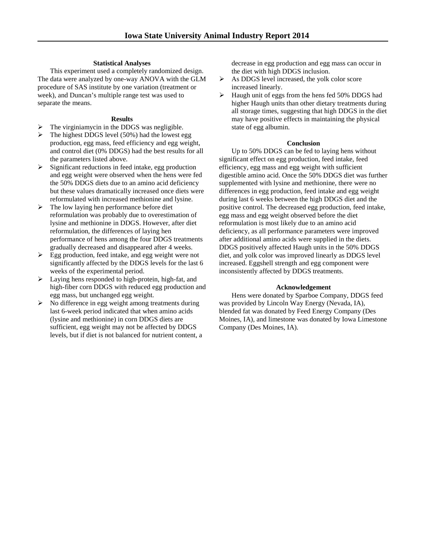## **Statistical Analyses**

This experiment used a completely randomized design. The data were analyzed by one-way ANOVA with the GLM procedure of SAS institute by one variation (treatment or week), and Duncan's multiple range test was used to separate the means.

## **Results**

- The virginiamycin in the DDGS was negligible.
- The highest DDGS level (50%) had the lowest egg production, egg mass, feed efficiency and egg weight, and control diet (0% DDGS) had the best results for all the parameters listed above.
- $\triangleright$  Significant reductions in feed intake, egg production and egg weight were observed when the hens were fed the 50% DDGS diets due to an amino acid deficiency but these values dramatically increased once diets were reformulated with increased methionine and lysine.
- $\triangleright$  The low laying hen performance before diet reformulation was probably due to overestimation of lysine and methionine in DDGS. However, after diet reformulation, the differences of laying hen performance of hens among the four DDGS treatments gradually decreased and disappeared after 4 weeks.
- $\triangleright$  Egg production, feed intake, and egg weight were not significantly affected by the DDGS levels for the last 6 weeks of the experimental period.
- Laying hens responded to high-protein, high-fat, and high-fiber corn DDGS with reduced egg production and egg mass, but unchanged egg weight.
- $\triangleright$  No difference in egg weight among treatments during last 6-week period indicated that when amino acids (lysine and methionine) in corn DDGS diets are sufficient, egg weight may not be affected by DDGS levels, but if diet is not balanced for nutrient content, a

decrease in egg production and egg mass can occur in the diet with high DDGS inclusion.

- $\triangleright$  As DDGS level increased, the yolk color score increased linearly.
- $\blacktriangleright$  Haugh unit of eggs from the hens fed 50% DDGS had higher Haugh units than other dietary treatments during all storage times, suggesting that high DDGS in the diet may have positive effects in maintaining the physical state of egg albumin.

### **Conclusion**

Up to 50% DDGS can be fed to laying hens without significant effect on egg production, feed intake, feed efficiency, egg mass and egg weight with sufficient digestible amino acid. Once the 50% DDGS diet was further supplemented with lysine and methionine, there were no differences in egg production, feed intake and egg weight during last 6 weeks between the high DDGS diet and the positive control. The decreased egg production, feed intake, egg mass and egg weight observed before the diet reformulation is most likely due to an amino acid deficiency, as all performance parameters were improved after additional amino acids were supplied in the diets. DDGS positively affected Haugh units in the 50% DDGS diet, and yolk color was improved linearly as DDGS level increased. Eggshell strength and egg component were inconsistently affected by DDGS treatments.

# **Acknowledgement**

Hens were donated by Sparboe Company, DDGS feed was provided by Lincoln Way Energy (Nevada, IA), blended fat was donated by Feed Energy Company (Des Moines, IA), and limestone was donated by Iowa Limestone Company (Des Moines, IA).